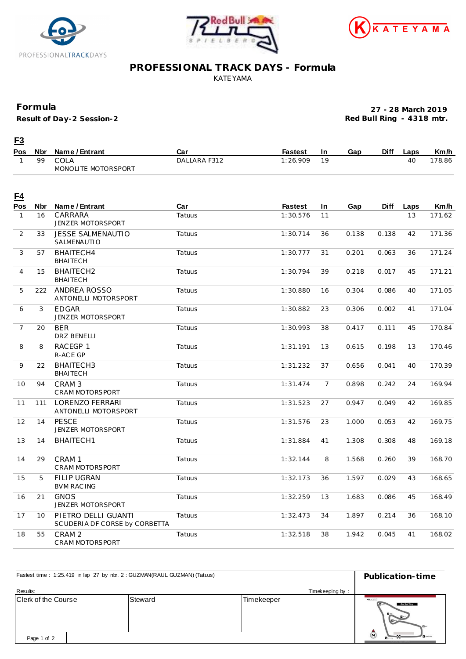





## **PROFESSIONAL TRACK DAYS - Formula** KATEYAMA

## **Formula**

**Result of Day-2 Session-2**

**27 - 28 March 2019 Red Bull Ring - 4318 mtr.**

## **F3**

| <b>Pos</b> | <b>Nbr</b> | Name / Entrant      | Car          | <b>Fastest</b> | In  | Gap | <b>Diff</b> | ∟aps | Km/h  |
|------------|------------|---------------------|--------------|----------------|-----|-----|-------------|------|-------|
|            | 99         | COLA                | DALLARA F312 | : 26.909       | 1 Q |     |             |      | 78.86 |
|            |            | MONOLITE MOTORSPORT |              |                |     |     |             |      |       |

| <u>E4</u>      |                 |                                                      |               |                |                |       |             |      |        |
|----------------|-----------------|------------------------------------------------------|---------------|----------------|----------------|-------|-------------|------|--------|
| Pos            | <b>Nbr</b>      | Name / Entrant                                       | Car           | <b>Fastest</b> | In.            | Gap   | <b>Diff</b> | Laps | Km/h   |
| $\mathbf{1}$   | 16              | CARRARA<br>JENZER MOTORSPORT                         | <b>Tatuus</b> | 1:30.576       | 11             |       |             | 13   | 171.62 |
| 2              | 33              | <b>JESSE SALMENAUTIO</b><br>SALMENAUTIO              | Tatuus        | 1:30.714       | 36             | 0.138 | 0.138       | 42   | 171.36 |
| 3              | 57              | BHAITECH4<br><b>BHAITECH</b>                         | Tatuus        | 1:30.777       | 31             | 0.201 | 0.063       | 36   | 171.24 |
| $\overline{4}$ | 15              | BHAITECH2<br><b>BHAITECH</b>                         | Tatuus        | 1:30.794       | 39             | 0.218 | 0.017       | 45   | 171.21 |
| 5              | 222             | ANDREA ROSSO<br>ANTONELLI MOTORSPORT                 | Tatuus        | 1:30.880       | 16             | 0.304 | 0.086       | 40   | 171.05 |
| 6              | 3               | <b>EDGAR</b><br><b>JENZER MOTORSPORT</b>             | Tatuus        | 1:30.882       | 23             | 0.306 | 0.002       | 41   | 171.04 |
| $\overline{7}$ | 20              | <b>BER</b><br><b>DRZ BENELLI</b>                     | Tatuus        | 1:30.993       | 38             | 0.417 | 0.111       | 45   | 170.84 |
| 8              | 8               | RACEGP 1<br>R-ACE GP                                 | Tatuus        | 1:31.191       | 13             | 0.615 | 0.198       | 13   | 170.46 |
| 9              | 22              | BHAITECH3<br><b>BHAITECH</b>                         | Tatuus        | 1:31.232       | 37             | 0.656 | 0.041       | 40   | 170.39 |
| 10             | 94              | CRAM <sub>3</sub><br>CRAM MOTORSPORT                 | Tatuus        | 1:31.474       | $\overline{7}$ | 0.898 | 0.242       | 24   | 169.94 |
| 11             | 111             | LORENZO FERRARI<br>ANTONELLI MOTORSPORT              | Tatuus        | 1:31.523       | 27             | 0.947 | 0.049       | 42   | 169.85 |
| 12             | 14              | <b>PESCE</b><br>JENZER MOTORSPORT                    | Tatuus        | 1:31.576       | 23             | 1.000 | 0.053       | 42   | 169.75 |
| 13             | 14              | BHAITECH1                                            | Tatuus        | 1:31.884       | 41             | 1.308 | 0.308       | 48   | 169.18 |
| 14             | 29              | CRAM <sub>1</sub><br><b>CRAM MOTORSPORT</b>          | Tatuus        | 1:32.144       | 8              | 1.568 | 0.260       | 39   | 168.70 |
| 15             | 5               | <b>FILIP UGRAN</b><br><b>BVM RACING</b>              | Tatuus        | 1:32.173       | 36             | 1.597 | 0.029       | 43   | 168.65 |
| 16             | 21              | <b>GNOS</b><br>JENZER MOTORSPORT                     | Tatuus        | 1:32.259       | 13             | 1.683 | 0.086       | 45   | 168.49 |
| 17             | 10 <sup>1</sup> | PIETRO DELLI GUANTI<br>SCUDERIA DF CORSE by CORBETTA | Tatuus        | 1:32.473       | 34             | 1.897 | 0.214       | 36   | 168.10 |
| 18             | 55              | CRAM <sub>2</sub><br><b>CRAM MOTORSPORT</b>          | Tatuus        | 1:32.518       | 38             | 1.942 | 0.045       | 41   | 168.02 |

| Fastest time: 1:25.419 in lap 27 by nbr. 2: GUZMAN(RAUL GUZMAN) (Tatuus) | Publication-time     |            |                                                              |
|--------------------------------------------------------------------------|----------------------|------------|--------------------------------------------------------------|
| Results:<br>Clerk of the Course                                          | Timekeeping by:<br>C |            |                                                              |
|                                                                          | Steward              | Timekeeper | Red Bull Ring<br>$B -$<br>$\mathbf{H}$                       |
| Page 1 of 2                                                              |                      |            | $\bar{\bm{\Theta}}$<br><b>Burney</b><br>FLIDY YOUR OPNING MO |